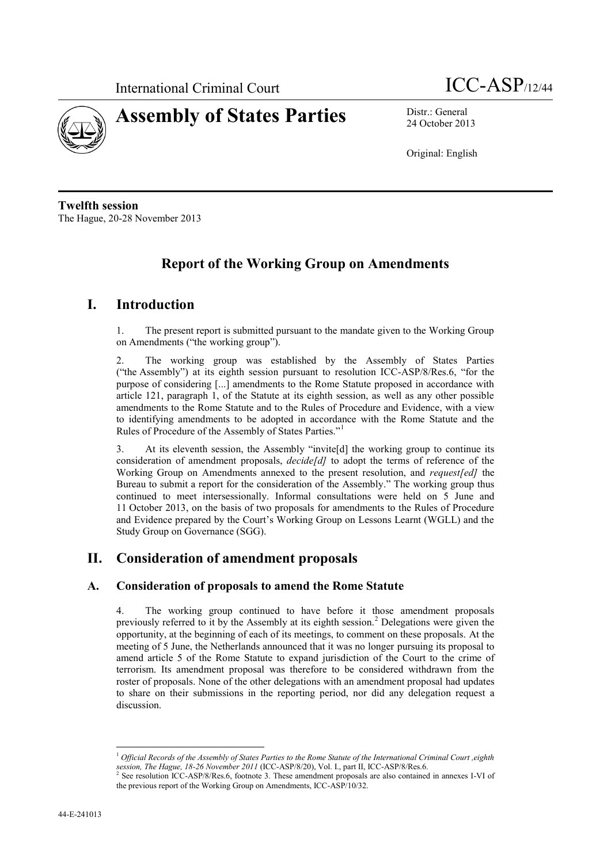



24 October 2013

Original: English

**Twelfth session** The Hague, 20-28 November 2013

# **Report of the Working Group on Amendments**

## **I. Introduction**

1. The present report is submitted pursuant to the mandate given to the Working Group on Amendments ("the working group").

2. The working group was established by the Assembly of States Parties ("the Assembly") at its eighth session pursuant to resolution ICC-ASP/8/Res.6, "for the purpose of considering [...] amendments to the Rome Statute proposed in accordance with article 121, paragraph 1, of the Statute at its eighth session, as well as any other possible amendments to the Rome Statute and to the Rules of Procedure and Evidence, with a view to identifying amendments to be adopted in accordance with the Rome Statute and the Rules of Procedure of the Assembly of States Parties."<sup>1</sup>

3. At its eleventh session, the Assembly "invite[d] the working group to continue its consideration of amendment proposals, *decide[d]* to adopt the terms of reference of the Working Group on Amendments annexed to the present resolution, and *request[ed]* the Bureau to submit a report for the consideration of the Assembly." The working group thus continued to meet intersessionally. Informal consultations were held on 5 June and 11 October 2013, on the basis of two proposals for amendments to the Rules of Procedure and Evidence prepared by the Court's Working Group on Lessons Learnt (WGLL) and the Study Group on Governance (SGG).

## **II. Consideration of amendment proposals**

#### **A. Consideration of proposals to amend the Rome Statute**

4. The working group continued to have before it those amendment proposals previously referred to it by the Assembly at its eighth session.<sup>2</sup> Delegations were given the opportunity, at the beginning of each of its meetings, to comment on these proposals. At the meeting of 5 June, the Netherlands announced that it was no longer pursuing its proposal to amend article 5 of the Rome Statute to expand jurisdiction of the Court to the crime of terrorism. Its amendment proposal was therefore to be considered withdrawn from the roster of proposals. None of the other delegations with an amendment proposal had updates to share on their submissions in the reporting period, nor did any delegation request a discussion.

l

<sup>1</sup> *Official Records of the Assembly of States Parties to the Rome Statute of the International Criminal Court ,eighth session, The Hague, 18-26 November 2011* (ICC-ASP/8/20), Vol. I., part II, ICC-ASP/8/Res.6. 2 See resolution ICC-ASP/8/Res.6, footnote 3. These amendment proposals are also contained in annexes I-VI of

the previous report of the Working Group on Amendments, ICC-ASP/10/32.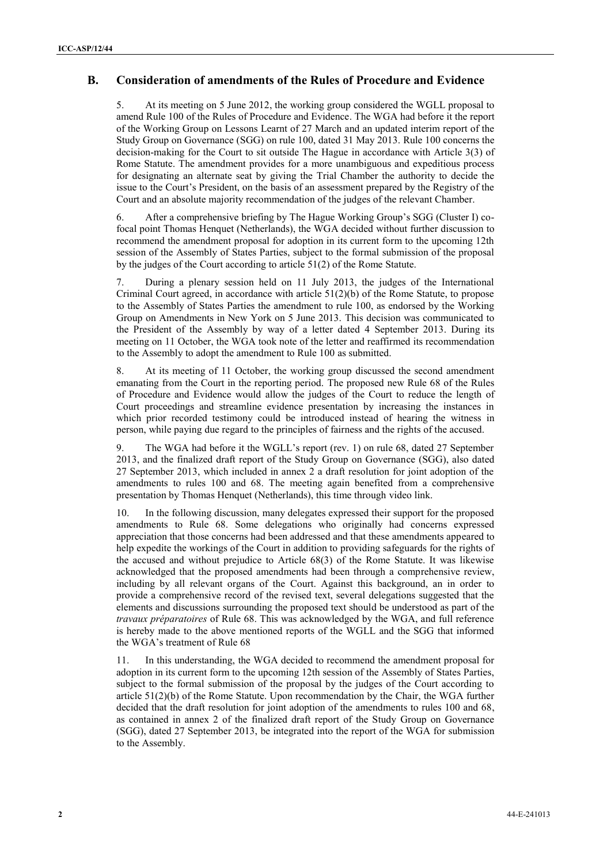#### **B. Consideration of amendments of the Rules of Procedure and Evidence**

5. At its meeting on 5 June 2012, the working group considered the WGLL proposal to amend Rule 100 of the Rules of Procedure and Evidence. The WGA had before it the report of the Working Group on Lessons Learnt of 27 March and an updated interim report of the Study Group on Governance (SGG) on rule 100, dated 31 May 2013. Rule 100 concerns the decision-making for the Court to sit outside The Hague in accordance with Article 3(3) of Rome Statute. The amendment provides for a more unambiguous and expeditious process for designating an alternate seat by giving the Trial Chamber the authority to decide the issue to the Court's President, on the basis of an assessment prepared by the Registry of the Court and an absolute majority recommendation of the judges of the relevant Chamber.

6. After a comprehensive briefing by The Hague Working Group's SGG (Cluster I) cofocal point Thomas Henquet (Netherlands), the WGA decided without further discussion to recommend the amendment proposal for adoption in its current form to the upcoming 12th session of the Assembly of States Parties, subject to the formal submission of the proposal by the judges of the Court according to article 51(2) of the Rome Statute.

7. During a plenary session held on 11 July 2013, the judges of the International Criminal Court agreed, in accordance with article 51(2)(b) of the Rome Statute, to propose to the Assembly of States Parties the amendment to rule 100, as endorsed by the Working Group on Amendments in New York on 5 June 2013. This decision was communicated to the President of the Assembly by way of a letter dated 4 September 2013. During its meeting on 11 October, the WGA took note of the letter and reaffirmed its recommendation to the Assembly to adopt the amendment to Rule 100 as submitted.

8. At its meeting of 11 October, the working group discussed the second amendment emanating from the Court in the reporting period. The proposed new Rule 68 of the Rules of Procedure and Evidence would allow the judges of the Court to reduce the length of Court proceedings and streamline evidence presentation by increasing the instances in which prior recorded testimony could be introduced instead of hearing the witness in person, while paying due regard to the principles of fairness and the rights of the accused.

9. The WGA had before it the WGLL's report (rev. 1) on rule 68, dated 27 September 2013, and the finalized draft report of the Study Group on Governance (SGG), also dated 27 September 2013, which included in annex 2 a draft resolution for joint adoption of the amendments to rules 100 and 68. The meeting again benefited from a comprehensive presentation by Thomas Henquet (Netherlands), this time through video link.

10. In the following discussion, many delegates expressed their support for the proposed amendments to Rule 68. Some delegations who originally had concerns expressed appreciation that those concerns had been addressed and that these amendments appeared to help expedite the workings of the Court in addition to providing safeguards for the rights of the accused and without prejudice to Article 68(3) of the Rome Statute. It was likewise acknowledged that the proposed amendments had been through a comprehensive review, including by all relevant organs of the Court. Against this background, an in order to provide a comprehensive record of the revised text, several delegations suggested that the elements and discussions surrounding the proposed text should be understood as part of the *travaux préparatoires* of Rule 68. This was acknowledged by the WGA, and full reference is hereby made to the above mentioned reports of the WGLL and the SGG that informed the WGA's treatment of Rule 68

11. In this understanding, the WGA decided to recommend the amendment proposal for adoption in its current form to the upcoming 12th session of the Assembly of States Parties, subject to the formal submission of the proposal by the judges of the Court according to article 51(2)(b) of the Rome Statute. Upon recommendation by the Chair, the WGA further decided that the draft resolution for joint adoption of the amendments to rules 100 and 68, as contained in annex 2 of the finalized draft report of the Study Group on Governance (SGG), dated 27 September 2013, be integrated into the report of the WGA for submission to the Assembly.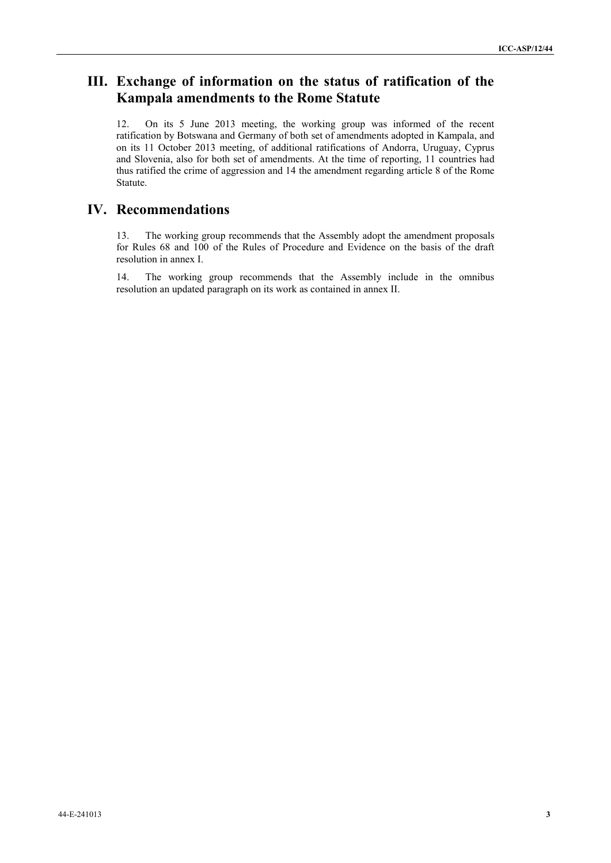## **III. Exchange of information on the status of ratification of the Kampala amendments to the Rome Statute**

12. On its 5 June 2013 meeting, the working group was informed of the recent ratification by Botswana and Germany of both set of amendments adopted in Kampala, and on its 11 October 2013 meeting, of additional ratifications of Andorra, Uruguay, Cyprus and Slovenia, also for both set of amendments. At the time of reporting, 11 countries had thus ratified the crime of aggression and 14 the amendment regarding article 8 of the Rome Statute.

## **IV. Recommendations**

13. The working group recommends that the Assembly adopt the amendment proposals for Rules 68 and 100 of the Rules of Procedure and Evidence on the basis of the draft resolution in annex I.

14. The working group recommends that the Assembly include in the omnibus resolution an updated paragraph on its work as contained in annex II.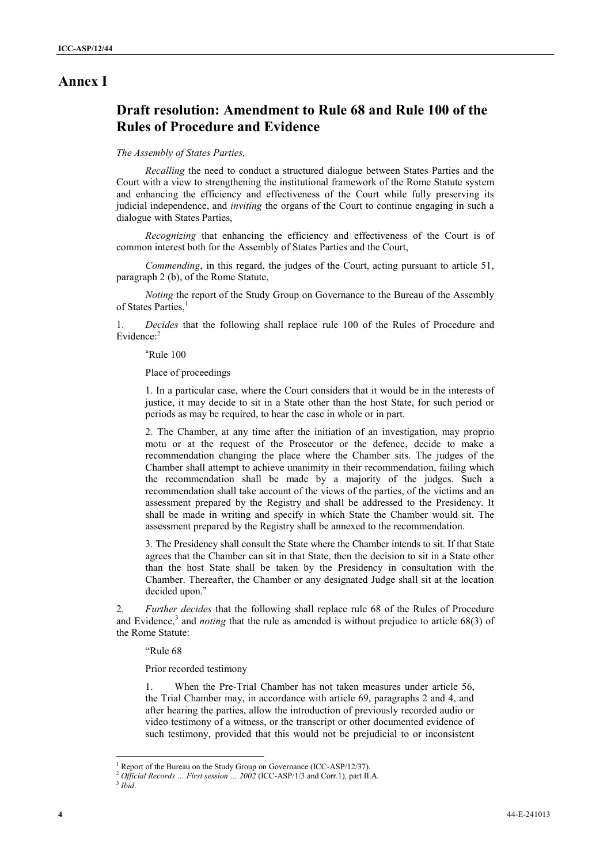#### **Annex I**

## **Draft resolution: Amendment to Rule 68 and Rule 100 of the Rules of Procedure and Evidence**

#### *The Assembly of States Parties,*

*Recalling* the need to conduct a structured dialogue between States Parties and the Court with a view to strengthening the institutional framework of the Rome Statute system and enhancing the efficiency and effectiveness of the Court while fully preserving its judicial independence, and *inviting* the organs of the Court to continue engaging in such a dialogue with States Parties,

*Recognizing* that enhancing the efficiency and effectiveness of the Court is of common interest both for the Assembly of States Parties and the Court,

*Commending*, in this regard, the judges of the Court, acting pursuant to article 51, paragraph 2 (b), of the Rome Statute,

*Noting* the report of the Study Group on Governance to the Bureau of the Assembly of States Parties, 1

1. *Decides* that the following shall replace rule 100 of the Rules of Procedure and Evidence:<sup>2</sup>

"Rule 100

Place of proceedings

1. In a particular case, where the Court considers that it would be in the interests of justice, it may decide to sit in a State other than the host State, for such period or periods as may be required, to hear the case in whole or in part.

2. The Chamber, at any time after the initiation of an investigation, may proprio motu or at the request of the Prosecutor or the defence, decide to make a recommendation changing the place where the Chamber sits. The judges of the Chamber shall attempt to achieve unanimity in their recommendation, failing which the recommendation shall be made by a majority of the judges. Such a recommendation shall take account of the views of the parties, of the victims and an assessment prepared by the Registry and shall be addressed to the Presidency. It shall be made in writing and specify in which State the Chamber would sit. The assessment prepared by the Registry shall be annexed to the recommendation.

3. The Presidency shall consult the State where the Chamber intends to sit. If that State agrees that the Chamber can sit in that State, then the decision to sit in a State other than the host State shall be taken by the Presidency in consultation with the Chamber. Thereafter, the Chamber or any designated Judge shall sit at the location decided upon."

2. *Further decides* that the following shall replace rule 68 of the Rules of Procedure and Evidence,<sup>3</sup> and *noting* that the rule as amended is without prejudice to article 68(3) of the Rome Statute:

"Rule 68

Prior recorded testimony

1. When the Pre-Trial Chamber has not taken measures under article 56, the Trial Chamber may, in accordance with article 69, paragraphs 2 and 4, and after hearing the parties, allow the introduction of previously recorded audio or video testimony of a witness, or the transcript or other documented evidence of such testimony, provided that this would not be prejudicial to or inconsistent

l

<sup>&</sup>lt;sup>1</sup> Report of the Bureau on the Study Group on Governance (ICC-ASP/12/37).

<sup>2</sup> *Official Records … First session … 2002* (ICC-ASP/1/3 and Corr.1)*,* part II.A.

<sup>3</sup> *Ibid*.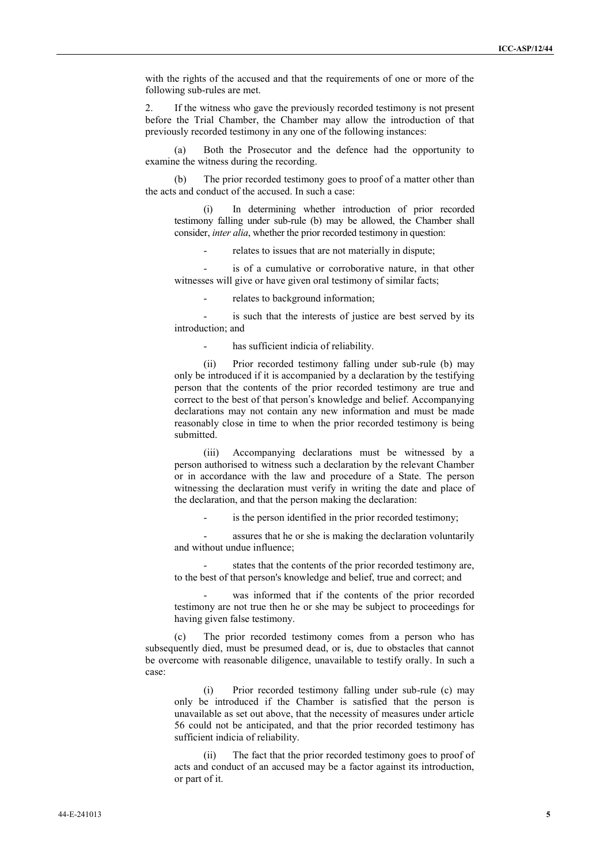with the rights of the accused and that the requirements of one or more of the following sub-rules are met.

2. If the witness who gave the previously recorded testimony is not present before the Trial Chamber, the Chamber may allow the introduction of that previously recorded testimony in any one of the following instances:

(a) Both the Prosecutor and the defence had the opportunity to examine the witness during the recording.

(b) The prior recorded testimony goes to proof of a matter other than the acts and conduct of the accused. In such a case:

(i) In determining whether introduction of prior recorded testimony falling under sub-rule (b) may be allowed, the Chamber shall consider, *inter alia*, whether the prior recorded testimony in question:

relates to issues that are not materially in dispute;

- is of a cumulative or corroborative nature, in that other witnesses will give or have given oral testimony of similar facts;

relates to background information;

is such that the interests of justice are best served by its introduction; and

has sufficient indicia of reliability.

(ii) Prior recorded testimony falling under sub-rule (b) may only be introduced if it is accompanied by a declaration by the testifying person that the contents of the prior recorded testimony are true and correct to the best of that person's knowledge and belief. Accompanying declarations may not contain any new information and must be made reasonably close in time to when the prior recorded testimony is being submitted.

(iii) Accompanying declarations must be witnessed by a person authorised to witness such a declaration by the relevant Chamber or in accordance with the law and procedure of a State. The person witnessing the declaration must verify in writing the date and place of the declaration, and that the person making the declaration:

is the person identified in the prior recorded testimony;

assures that he or she is making the declaration voluntarily and without undue influence;

states that the contents of the prior recorded testimony are, to the best of that person's knowledge and belief, true and correct; and

was informed that if the contents of the prior recorded testimony are not true then he or she may be subject to proceedings for having given false testimony.

(c) The prior recorded testimony comes from a person who has subsequently died, must be presumed dead, or is, due to obstacles that cannot be overcome with reasonable diligence, unavailable to testify orally. In such a case:

(i) Prior recorded testimony falling under sub-rule (c) may only be introduced if the Chamber is satisfied that the person is unavailable as set out above, that the necessity of measures under article 56 could not be anticipated, and that the prior recorded testimony has sufficient indicia of reliability.

(ii) The fact that the prior recorded testimony goes to proof of acts and conduct of an accused may be a factor against its introduction, or part of it.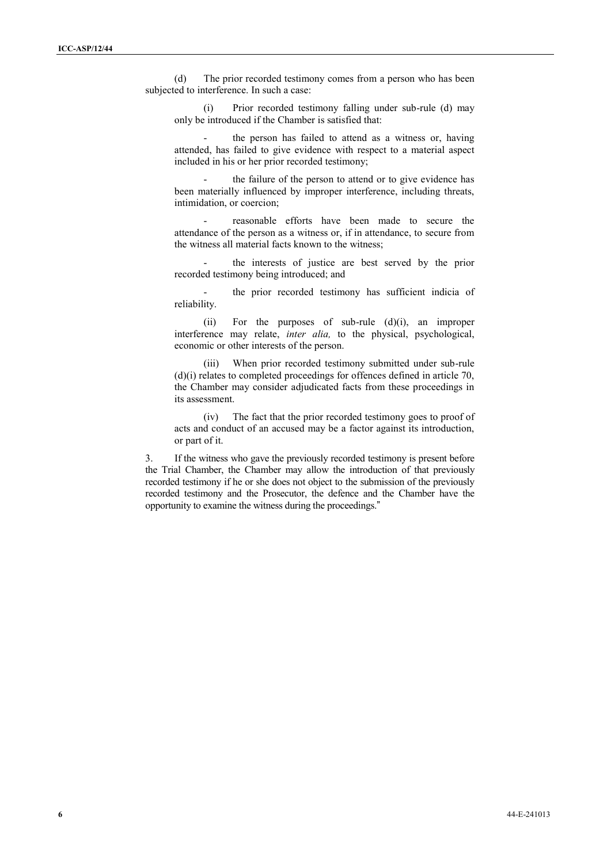(d) The prior recorded testimony comes from a person who has been subjected to interference. In such a case:

(i) Prior recorded testimony falling under sub-rule (d) may only be introduced if the Chamber is satisfied that:

the person has failed to attend as a witness or, having attended, has failed to give evidence with respect to a material aspect included in his or her prior recorded testimony;

the failure of the person to attend or to give evidence has been materially influenced by improper interference, including threats, intimidation, or coercion;

reasonable efforts have been made to secure the attendance of the person as a witness or, if in attendance, to secure from the witness all material facts known to the witness;

the interests of justice are best served by the prior recorded testimony being introduced; and

the prior recorded testimony has sufficient indicia of reliability.

(ii) For the purposes of sub-rule (d)(i), an improper interference may relate, *inter alia,* to the physical, psychological, economic or other interests of the person.

(iii) When prior recorded testimony submitted under sub-rule (d)(i) relates to completed proceedings for offences defined in article 70, the Chamber may consider adjudicated facts from these proceedings in its assessment.

(iv) The fact that the prior recorded testimony goes to proof of acts and conduct of an accused may be a factor against its introduction, or part of it.

3. If the witness who gave the previously recorded testimony is present before the Trial Chamber, the Chamber may allow the introduction of that previously recorded testimony if he or she does not object to the submission of the previously recorded testimony and the Prosecutor, the defence and the Chamber have the opportunity to examine the witness during the proceedings."